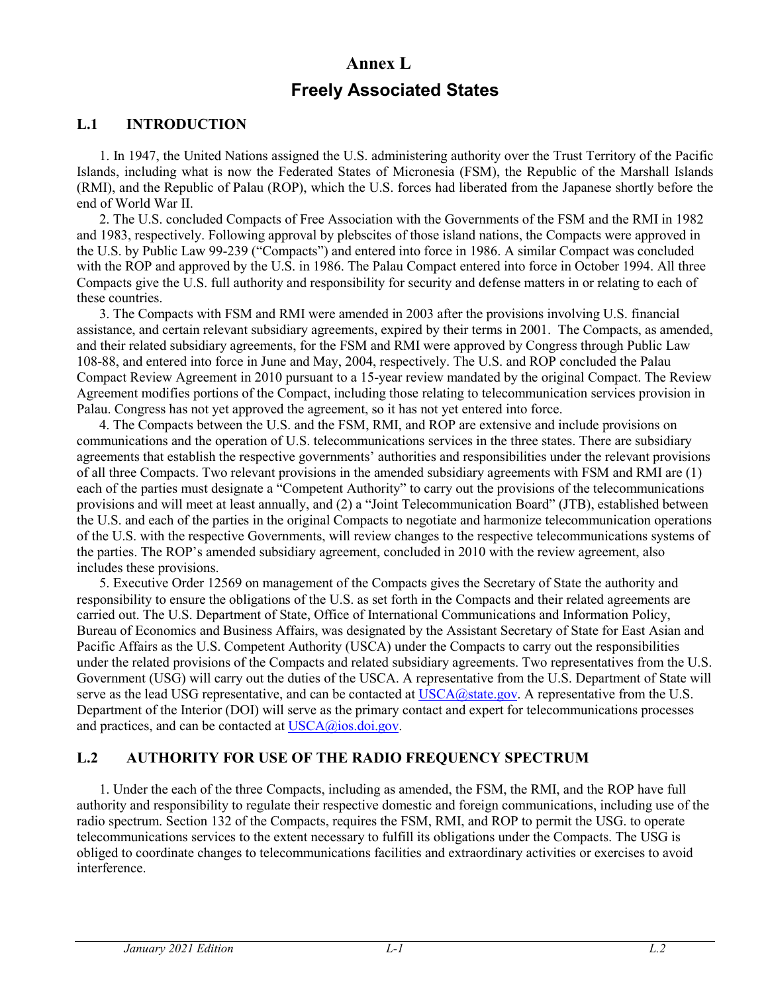## **Annex L**

# **Freely Associated States**

#### **L.1 INTRODUCTION**

1. In 1947, the United Nations assigned the U.S. administering authority over the Trust Territory of the Pacific Islands, including what is now the Federated States of Micronesia (FSM), the Republic of the Marshall Islands (RMI), and the Republic of Palau (ROP), which the U.S. forces had liberated from the Japanese shortly before the end of World War II.

2. The U.S. concluded Compacts of Free Association with the Governments of the FSM and the RMI in 1982 and 1983, respectively. Following approval by plebscites of those island nations, the Compacts were approved in the U.S. by Public Law 99-239 ("Compacts") and entered into force in 1986. A similar Compact was concluded with the ROP and approved by the U.S. in 1986. The Palau Compact entered into force in October 1994. All three Compacts give the U.S. full authority and responsibility for security and defense matters in or relating to each of these countries.

3. The Compacts with FSM and RMI were amended in 2003 after the provisions involving U.S. financial assistance, and certain relevant subsidiary agreements, expired by their terms in 2001. The Compacts, as amended, and their related subsidiary agreements, for the FSM and RMI were approved by Congress through Public Law 108-88, and entered into force in June and May, 2004, respectively. The U.S. and ROP concluded the Palau Compact Review Agreement in 2010 pursuant to a 15-year review mandated by the original Compact. The Review Agreement modifies portions of the Compact, including those relating to telecommunication services provision in Palau. Congress has not yet approved the agreement, so it has not yet entered into force.

4. The Compacts between the U.S. and the FSM, RMI, and ROP are extensive and include provisions on communications and the operation of U.S. telecommunications services in the three states. There are subsidiary agreements that establish the respective governments' authorities and responsibilities under the relevant provisions of all three Compacts. Two relevant provisions in the amended subsidiary agreements with FSM and RMI are (1) each of the parties must designate a "Competent Authority" to carry out the provisions of the telecommunications provisions and will meet at least annually, and (2) a "Joint Telecommunication Board" (JTB), established between the U.S. and each of the parties in the original Compacts to negotiate and harmonize telecommunication operations of the U.S. with the respective Governments, will review changes to the respective telecommunications systems of the parties. The ROP's amended subsidiary agreement, concluded in 2010 with the review agreement, also includes these provisions.

5. Executive Order 12569 on management of the Compacts gives the Secretary of State the authority and responsibility to ensure the obligations of the U.S. as set forth in the Compacts and their related agreements are carried out. The U.S. Department of State, Office of International Communications and Information Policy, Bureau of Economics and Business Affairs, was designated by the Assistant Secretary of State for East Asian and Pacific Affairs as the U.S. Competent Authority (USCA) under the Compacts to carry out the responsibilities under the related provisions of the Compacts and related subsidiary agreements. Two representatives from the U.S. Government (USG) will carry out the duties of the USCA. A representative from the U.S. Department of State will serve as the lead USG representative, and can be contacted at USCA@state.gov. A representative from the U.S. Department of the Interior (DOI) will serve as the primary contact and expert for telecommunications processes and practices, and can be contacted at [USCA@ios.doi.gov.](mailto:USCA@ios.doi.gov)

### **L.2 AUTHORITY FOR USE OF THE RADIO FREQUENCY SPECTRUM**

1. Under the each of the three Compacts, including as amended, the FSM, the RMI, and the ROP have full authority and responsibility to regulate their respective domestic and foreign communications, including use of the radio spectrum. Section 132 of the Compacts, requires the FSM, RMI, and ROP to permit the USG. to operate telecommunications services to the extent necessary to fulfill its obligations under the Compacts. The USG is obliged to coordinate changes to telecommunications facilities and extraordinary activities or exercises to avoid interference.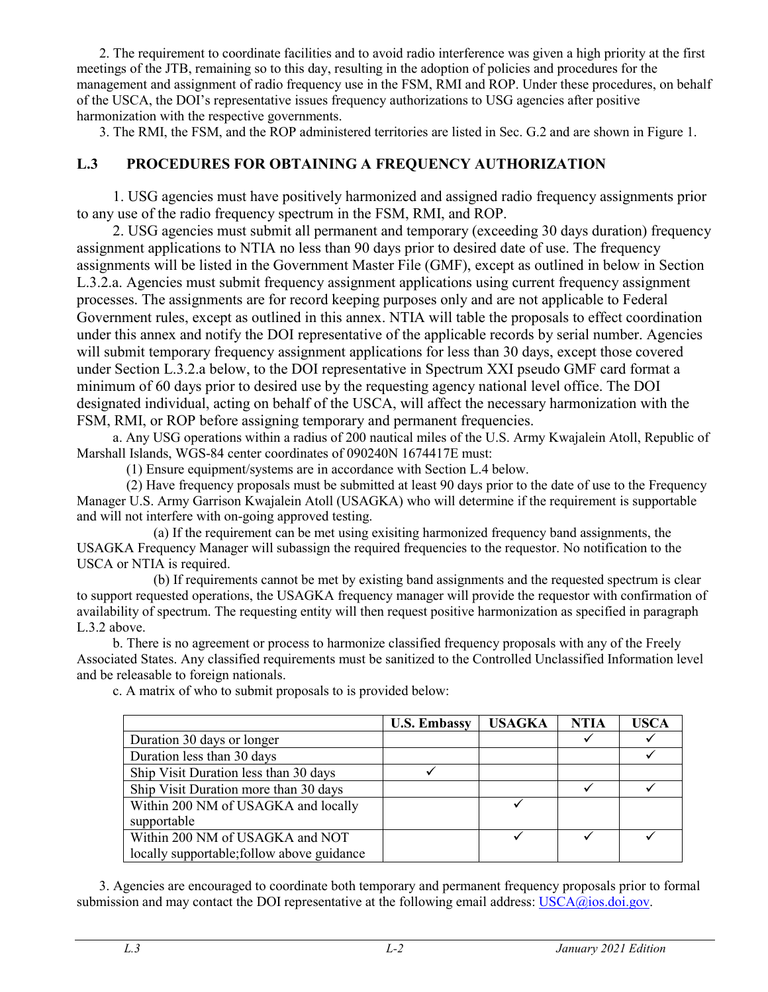2. The requirement to coordinate facilities and to avoid radio interference was given a high priority at the first meetings of the JTB, remaining so to this day, resulting in the adoption of policies and procedures for the management and assignment of radio frequency use in the FSM, RMI and ROP. Under these procedures, on behalf of the USCA, the DOI's representative issues frequency authorizations to USG agencies after positive harmonization with the respective governments.

3. The RMI, the FSM, and the ROP administered territories are listed in Sec. G.2 and are shown in Figure 1.

### **L.3 PROCEDURES FOR OBTAINING A FREQUENCY AUTHORIZATION**

1. USG agencies must have positively harmonized and assigned radio frequency assignments prior to any use of the radio frequency spectrum in the FSM, RMI, and ROP.

2. USG agencies must submit all permanent and temporary (exceeding 30 days duration) frequency assignment applications to NTIA no less than 90 days prior to desired date of use. The frequency assignments will be listed in the Government Master File (GMF), except as outlined in below in Section L.3.2.a. Agencies must submit frequency assignment applications using current frequency assignment processes. The assignments are for record keeping purposes only and are not applicable to Federal Government rules, except as outlined in this annex. NTIA will table the proposals to effect coordination under this annex and notify the DOI representative of the applicable records by serial number. Agencies will submit temporary frequency assignment applications for less than 30 days, except those covered under Section L.3.2.a below, to the DOI representative in Spectrum XXI pseudo GMF card format a minimum of 60 days prior to desired use by the requesting agency national level office. The DOI designated individual, acting on behalf of the USCA, will affect the necessary harmonization with the FSM, RMI, or ROP before assigning temporary and permanent frequencies.

a. Any USG operations within a radius of 200 nautical miles of the U.S. Army Kwajalein Atoll, Republic of Marshall Islands, WGS-84 center coordinates of 090240N 1674417E must:

(1) Ensure equipment/systems are in accordance with Section L.4 below.

(2) Have frequency proposals must be submitted at least 90 days prior to the date of use to the Frequency Manager U.S. Army Garrison Kwajalein Atoll (USAGKA) who will determine if the requirement is supportable and will not interfere with on-going approved testing.

(a) If the requirement can be met using exisiting harmonized frequency band assignments, the USAGKA Frequency Manager will subassign the required frequencies to the requestor. No notification to the USCA or NTIA is required.

(b) If requirements cannot be met by existing band assignments and the requested spectrum is clear to support requested operations, the USAGKA frequency manager will provide the requestor with confirmation of availability of spectrum. The requesting entity will then request positive harmonization as specified in paragraph L.3.2 above.

b. There is no agreement or process to harmonize classified frequency proposals with any of the Freely Associated States. Any classified requirements must be sanitized to the Controlled Unclassified Information level and be releasable to foreign nationals.

|                                            | <b>U.S. Embassy</b> | <b>USAGKA</b> | <b>NTIA</b> | <b>USCA</b> |
|--------------------------------------------|---------------------|---------------|-------------|-------------|
| Duration 30 days or longer                 |                     |               |             |             |
| Duration less than 30 days                 |                     |               |             |             |
| Ship Visit Duration less than 30 days      |                     |               |             |             |
| Ship Visit Duration more than 30 days      |                     |               |             |             |
| Within 200 NM of USAGKA and locally        |                     |               |             |             |
| supportable                                |                     |               |             |             |
| Within 200 NM of USAGKA and NOT            |                     |               |             |             |
| locally supportable; follow above guidance |                     |               |             |             |

c. A matrix of who to submit proposals to is provided below:

3. Agencies are encouraged to coordinate both temporary and permanent frequency proposals prior to formal submission and may contact the DOI representative at the following email address[: USCA@ios.doi.gov.](mailto:USCA@ios.doi.gov)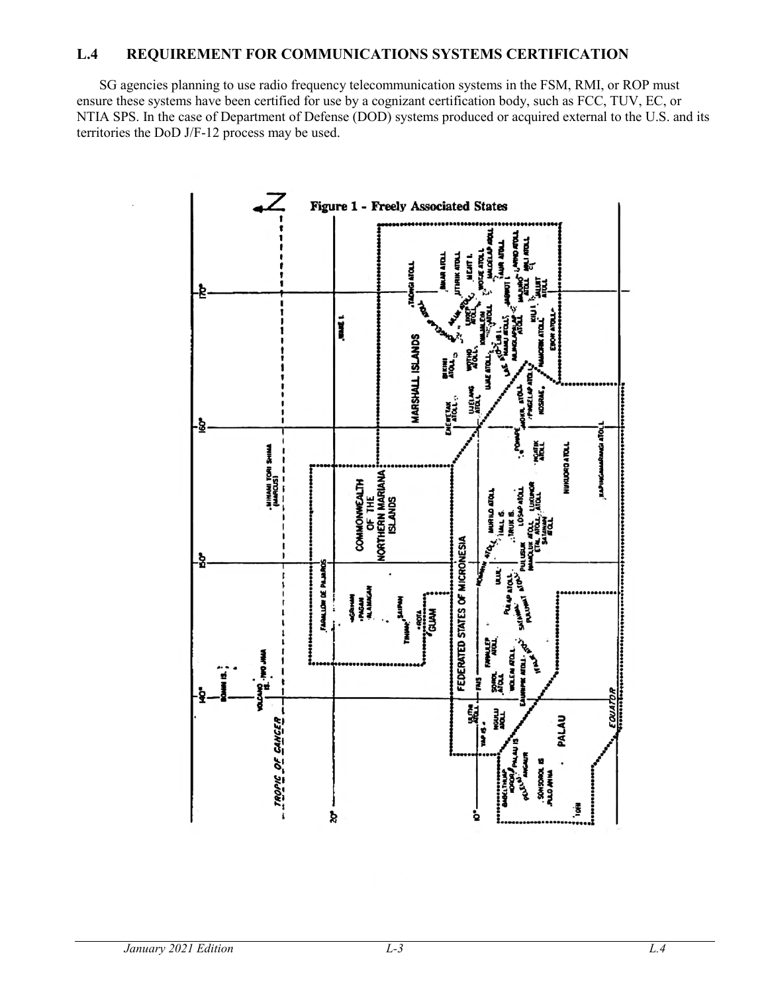#### **L.4 REQUIREMENT FOR COMMUNICATIONS SYSTEMS CERTIFICATION**

SG agencies planning to use radio frequency telecommunication systems in the FSM, RMI, or ROP must ensure these systems have been certified for use by a cognizant certification body, such as FCC, TUV, EC, or NTIA SPS. In the case of Department of Defense (DOD) systems produced or acquired external to the U.S. and its territories the DoD J/F-12 process may be used.